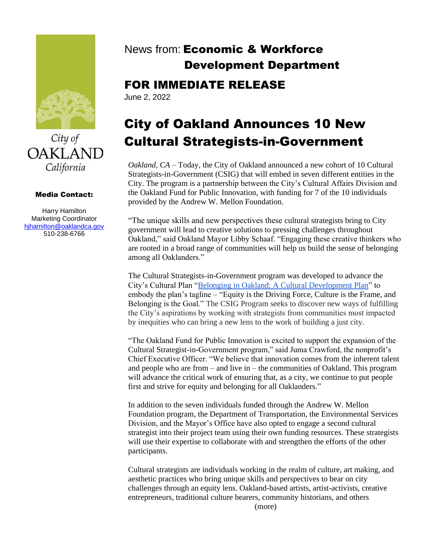

City of **OAKLAND** California

### Media Contact:

Harry Hamilton Marketing Coordinator [hjhamilton@oaklandca.gov](mailto:hjhamilton@oaklandca.gov) 510-238-6766

# News from: Economic & Workforce Development Department

# FOR IMMEDIATE RELEASE

June 2, 2022

# City of Oakland Announces 10 New Cultural Strategists-in-Government

*Oakland, CA* – Today, the City of Oakland announced a new cohort of 10 Cultural Strategists-in-Government (CSIG) that will embed in seven different entities in the City. The program is a partnership between the City's Cultural Affairs Division and the Oakland Fund for Public Innovation, with funding for 7 of the 10 individuals provided by the Andrew W. Mellon Foundation.

"The unique skills and new perspectives these cultural strategists bring to City government will lead to creative solutions to pressing challenges throughout Oakland," said Oakland Mayor Libby Schaaf. "Engaging these creative thinkers who are rooted in a broad range of communities will help us build the sense of belonging among all Oaklanders."

The Cultural Strategists-in-Government program was developed to advance the City's Cultural Plan ["Belonging in Oakland: A Cultural Development Plan"](https://www.oaklandca.gov/resources/cultural-plan#:~:text=Titled%20%E2%80%9CBelonging%20in%20Oakland%3A%20A,has%20access%20to%20cultural%20amenities.) to embody the plan's tagline – "Equity is the Driving Force, Culture is the Frame, and Belonging is the Goal." The CSIG Program seeks to discover new ways of fulfilling the City's aspirations by working with strategists from communities most impacted by inequities who can bring a new lens to the work of building a just city.

"The Oakland Fund for Public Innovation is excited to support the expansion of the Cultural Strategist-in-Government program," said Juma Crawford, the nonprofit's Chief Executive Officer. "We believe that innovation comes from the inherent talent and people who are from – and live in – the communities of Oakland. This program will advance the critical work of ensuring that, as a city, we continue to put people first and strive for equity and belonging for all Oaklanders."

In addition to the seven individuals funded through the Andrew W. Mellon Foundation program, the Department of Transportation, the Environmental Services Division, and the Mayor's Office have also opted to engage a second cultural strategist into their project team using their own funding resources. These strategists will use their expertise to collaborate with and strengthen the efforts of the other participants.

Cultural strategists are individuals working in the realm of culture, art making, and aesthetic practices who bring unique skills and perspectives to bear on city challenges through an equity lens. Oakland-based artists, artist-activists, creative entrepreneurs, traditional culture bearers, community historians, and others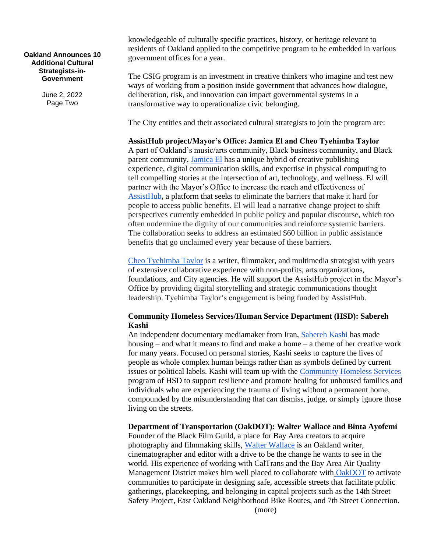**Oakland Announces 10 Additional Cultural Strategists-in-Government**

> June 2, 2022 Page Two

knowledgeable of culturally specific practices, history, or heritage relevant to residents of Oakland applied to the competitive program to be embedded in various government offices for a year.

The CSIG program is an investment in creative thinkers who imagine and test new ways of working from a position inside government that advances how dialogue, deliberation, risk, and innovation can impact governmental systems in a transformative way to operationalize civic belonging.

The City entities and their associated cultural strategists to join the program are:

**AssistHub project/Mayor's Office: Jamica El and Cheo Tyehimba Taylor** A part of Oakland's music/arts community, Black business community, and Black parent community, [Jamica El](https://www.muvaboard.com/) has a unique hybrid of creative publishing experience, digital communication skills, and expertise in physical computing to tell compelling stories at the intersection of art, technology, and wellness. El will partner with the Mayor's Office to increase the reach and effectiveness of [AssistHub,](https://www.assisthub.org/) a platform that seeks to eliminate the barriers that make it hard for people to access public benefits. El will lead a narrative change project to shift perspectives currently embedded in public policy and popular discourse, which too often undermine the dignity of our communities and reinforce systemic barriers. The collaboration seeks to address an estimated \$60 billion in public assistance benefits that go unclaimed every year because of these barriers.

[Cheo Tyehimba Taylor](http://forwardevermedia.com/) is a writer, filmmaker, and multimedia strategist with years of extensive collaborative experience with non-profits, arts organizations, foundations, and City agencies. He will support the AssistHub project in the Mayor's Office by providing digital storytelling and strategic communications thought leadership. Tyehimba Taylor's engagement is being funded by AssistHub.

# **Community Homeless Services/Human Service Department (HSD): Sabereh Kashi**

An independent documentary mediamaker from Iran, [Sabereh Kashi](https://www.facebook.com/wovenmultimedia) has made housing – and what it means to find and make a home – a theme of her creative work for many years. Focused on personal stories, Kashi seeks to capture the lives of people as whole complex human beings rather than as symbols defined by current issues or political labels. Kashi will team up with the [Community Homeless Services](https://www.oaklandca.gov/topics/community-housing-services) program of HSD to support resilience and promote healing for unhoused families and individuals who are experiencing the trauma of living without a permanent home, compounded by the misunderstanding that can dismiss, judge, or simply ignore those living on the streets.

**Department of Transportation (OakDOT): Walter Wallace and Binta Ayofemi**

Founder of the Black Film Guild, a place for Bay Area creators to acquire photography and filmmaking skills, [Walter Wallace](http://www.blackfilmguild.com/) is an Oakland writer, cinematographer and editor with a drive to be the change he wants to see in the world. His experience of working with CalTrans and the Bay Area Air Quality Management District makes him well placed to collaborate with [OakDOT](https://www.oaklandca.gov/departments/transportation) to activate communities to participate in designing safe, accessible streets that facilitate public gatherings, placekeeping, and belonging in capital projects such as the 14th Street Safety Project, East Oakland Neighborhood Bike Routes, and 7th Street Connection. (more)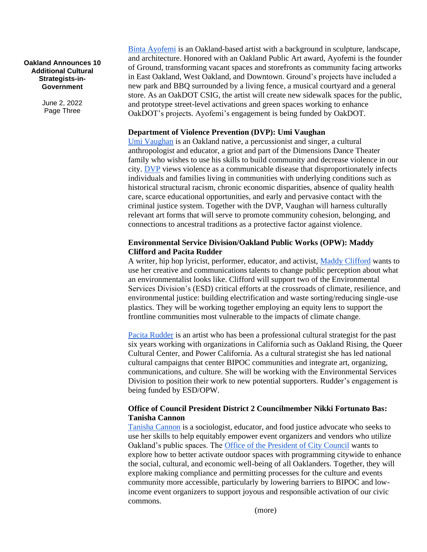#### **Oakland Announces 10 Additional Cultural Strategists-in-Government**

June 2, 2022 Page Three

[Binta Ayofemi](http://ground.org/) is an Oakland-based artist with a background in sculpture, landscape, and architecture. Honored with an Oakland Public Art award, Ayofemi is the founder of Ground, transforming vacant spaces and storefronts as community facing artworks in East Oakland, West Oakland, and Downtown. Ground's projects have included a new park and BBQ surrounded by a living fence, a musical courtyard and a general store. As an OakDOT CSIG, the artist will create new sidewalk spaces for the public, and prototype street-level activations and green spaces working to enhance OakDOT's projects. Ayofemi's engagement is being funded by OakDOT.

# **Department of Violence Prevention (DVP): Umi Vaughan**

[Umi Vaughan](https://csumb.edu/blackstudentsuccess/cbss-team/) is an Oakland native, a percussionist and singer, a cultural anthropologist and educator, a griot and part of the Dimensions Dance Theater family who wishes to use his skills to build community and decrease violence in our city. [DVP](https://www.oaklandca.gov/departments/violence-prevention) views violence as a communicable disease that disproportionately infects individuals and families living in communities with underlying conditions such as historical structural racism, chronic economic disparities, absence of quality health care, scarce educational opportunities, and early and pervasive contact with the criminal justice system. Together with the DVP, Vaughan will harness culturally relevant art forms that will serve to promote community cohesion, belonging, and connections to ancestral traditions as a protective factor against violence.

# **Environmental Service Division/Oakland Public Works (OPW): Maddy Clifford and Pacita Rudder**

A writer, hip hop lyricist, performer, educator, and activist, [Maddy Clifford](http://www.madlinesinfo.com/) wants to use her creative and communications talents to change public perception about what an environmentalist looks like. Clifford will support two of the Environmental Services Division's (ESD) critical efforts at the crossroads of climate, resilience, and environmental justice: building electrification and waste sorting/reducing single-use plastics. They will be working together employing an equity lens to support the frontline communities most vulnerable to the impacts of climate change.

[Pacita Rudder](https://www.linkedin.com/in/pacita-rudder-a4082632/) is an artist who has been a professional cultural strategist for the past six years working with organizations in California such as Oakland Rising, the Queer Cultural Center, and Power California. As a cultural strategist she has led national cultural campaigns that center BIPOC communities and integrate art, organizing, communications, and culture. She will be working with the Environmental Services Division to position their work to new potential supporters. Rudder's engagement is being funded by ESD/OPW.

# **Office of Council President District 2 Councilmember Nikki Fortunato Bas: Tanisha Cannon**

[Tanisha Cannon](https://sowcivil.com/) is a sociologist, educator, and food justice advocate who seeks to use her skills to help equitably empower event organizers and vendors who utilize Oakland's public spaces. The [Office of the President of City Council](https://www.oaklandca.gov/officials/nikki-fortunato-bas) wants to explore how to better activate outdoor spaces with programming citywide to enhance the social, cultural, and economic well-being of all Oaklanders. Together, they will explore making compliance and permitting processes for the culture and events community more accessible, particularly by lowering barriers to BIPOC and lowincome event organizers to support joyous and responsible activation of our civic commons.